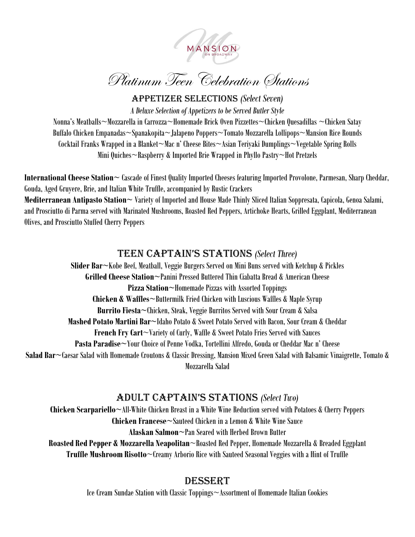

Appetizer Selections *(Select Seven)*

*A Deluxe Selection of Appetizers to be Served Butler Style*

Nonna's Meatballs~Mozzarella in Carrozza~Homemade Brick Oven Pizzettes~Chicken Quesadillas ~Chicken Satay Buffalo Chicken Empanadas~Spanakopita~Jalapeno Poppers~Tomato Mozzarella Lollipops~Mansion Rice Rounds Cocktail Franks Wrapped in a Blanket~Mac n' Cheese Bites~Asian Teriyaki Dumplings~Vegetable Spring Rolls Mini Quiches~Raspberry & Imported Brie Wrapped in Phyllo Pastry~Hot Pretzels

**International Cheese Station~** Cascade of Finest Quality Imported Cheeses featuring Imported Provolone, Parmesan, Sharp Cheddar, Gouda, Aged Gruyere, Brie, and Italian White Truffle, accompanied by Rustic Crackers

**Mediterranean Antipasto Station~** Variety of Imported and House Made Thinly Sliced Italian Soppresata, Capicola, Genoa Salami, and Prosciutto di Parma served with Marinated Mushrooms, Roasted Red Peppers, Artichoke Hearts, Grilled Eggplant, Mediterranean Olives, and Prosciutto Stuffed Cherry Peppers

## Teen Captain's stations *(Select Three)*

**Slider Bar~**Kobe Beef, Meatball, Veggie Burgers Served on Mini Buns served with Ketchup & Pickles **Grilled Cheese Station~**Panini Pressed Buttered Thin Ciabatta Bread & American Cheese **Pizza Station~**Homemade Pizzas with Assorted Toppings **Chicken & Waffles~**Buttermilk Fried Chicken with Luscious Waffles & Maple Syrup **Burrito Fiesta~**Chicken, Steak, Veggie Burritos Served with Sour Cream & Salsa **Mashed Potato Martini Bar~**Idaho Potato & Sweet Potato Served with Bacon, Sour Cream & Cheddar **French Fry Cart**~Variety of Curly, Waffle & Sweet Potato Fries Served with Sauces **Pasta Paradise~**Your Choice of Penne Vodka, Tortellini Alfredo, Gouda or Cheddar Mac n' Cheese **Salad Bar~**Caesar Salad with Homemade Croutons & Classic Dressing, Mansion Mixed Green Salad with Balsamic Vinaigrette, Tomato & Mozzarella Salad

# adult Captain's stations *(Select Two)*

**Chicken Scarpariello~**All-White Chicken Breast in a White Wine Reduction served with Potatoes & Cherry Peppers **Chicken Francese~**Sauteed Chicken in a Lemon & White Wine Sauce **Alaskan Salmon~**Pan Seared with Herbed Brown Butter

**Roasted Red Pepper & Mozzarella Neapolitan**~Roasted Red Pepper, Homemade Mozzarella & Breaded Eggplant **Truffle Mushroom Risotto**~Creamy Arborio Rice with Sauteed Seasonal Veggies with a Hint of Truffle

### **DESSERT**

Ice Cream Sundae Station with Classic Toppings~Assortment of Homemade Italian Cookies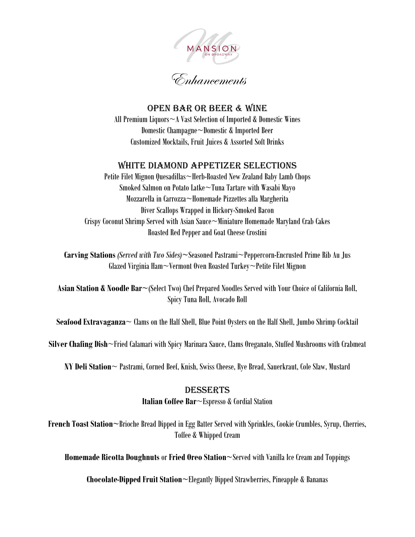

Open Bar or Beer & Wine All Premium Liquors~A Vast Selection of Imported & Domestic Wines Domestic Champagne~Domestic & Imported Beer Customized Mocktails, Fruit Juices & Assorted Soft Drinks

#### White Diamond Appetizer Selections

Petite Filet Mignon Quesadillas~Herb-Roasted New Zealand Baby Lamb Chops Smoked Salmon on Potato Latke~Tuna Tartare with Wasabi Mayo Mozzarella in Carrozza~Homemade Pizzettes alla Margherita Diver Scallops Wrapped in Hickory-Smoked Bacon Crispy Coconut Shrimp Served with Asian Sauce~Miniature Homemade Maryland Crab Cakes Roasted Red Pepper and Goat Cheese Crostini

**Carving Stations** *(Served with Two Sides)***~**Seasoned Pastrami~Peppercorn-Encrusted Prime Rib Au Jus Glazed Virginia Ham~Vermont Oven Roasted Turkey~Petite Filet Mignon

**Asian Station & Noodle Bar~**(Select Two) Chef Prepared Noodles Served with Your Choice of California Roll, Spicy Tuna Roll, Avocado Roll

**Seafood Extravaganza**~ Clams on the Half Shell, Blue Point Oysters on the Half Shell, Jumbo Shrimp Cocktail

**Silver Chafing Dish**~Fried Calamari with Spicy Marinara Sauce, Clams Oreganato, Stuffed Mushrooms with Crabmeat

**NY Deli Station**~ Pastrami, Corned Beef, Knish, Swiss Cheese, Rye Bread, Sauerkraut, Cole Slaw, Mustard

#### Desserts

**Italian Coffee Bar**~Espresso & Cordial Station

**French Toast Station~**Brioche Bread Dipped in Egg Batter Served with Sprinkles, Cookie Crumbles, Syrup, Cherries, Toffee & Whipped Cream

**Homemade Ricotta Doughnuts** or **Fried Oreo Station~**Served with Vanilla Ice Cream and Toppings

**Chocolate-Dipped Fruit Station~**Elegantly Dipped Strawberries, Pineapple & Bananas